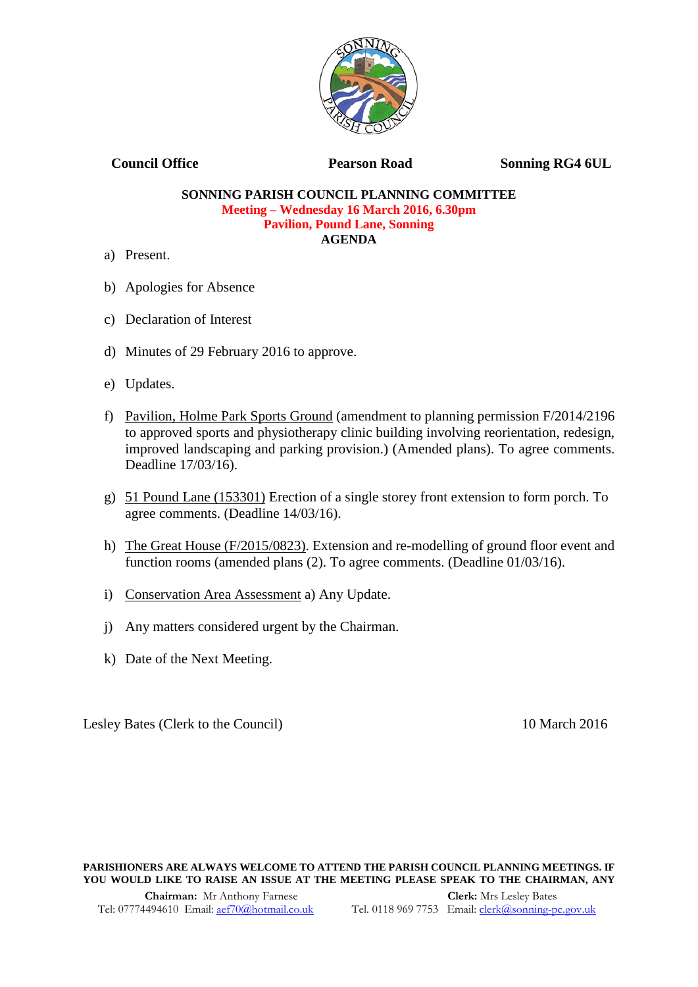

**Council Office 2018 Pearson Road 2018 Sonning RG4 6UL** 

## **SONNING PARISH COUNCIL PLANNING COMMITTEE Meeting – Wednesday 16 March 2016, 6.30pm Pavilion, Pound Lane, Sonning AGENDA**

- a) Present.
- b) Apologies for Absence
- c) Declaration of Interest
- d) Minutes of 29 February 2016 to approve.
- e) Updates.
- f) Pavilion, Holme Park Sports Ground (amendment to planning permission F/2014/2196 to approved sports and physiotherapy clinic building involving reorientation, redesign, improved landscaping and parking provision.) (Amended plans). To agree comments. Deadline 17/03/16).
- g) 51 Pound Lane (153301) Erection of a single storey front extension to form porch. To agree comments. (Deadline 14/03/16).
- h) The Great House (F/2015/0823). Extension and re-modelling of ground floor event and function rooms (amended plans (2). To agree comments. (Deadline 01/03/16).
- i) Conservation Area Assessment a) Any Update.
- j) Any matters considered urgent by the Chairman.
- k) Date of the Next Meeting.

Lesley Bates (Clerk to the Council) 10 March 2016